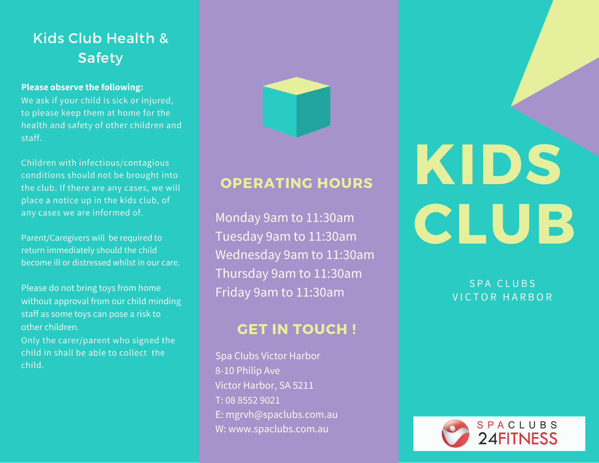# Kids Club Health & Safety

## **Please observe the following:**

We ask if your child is sick or injured, to please keep them at home for the health and safety of other children and staff.

Children with infectious/contagious conditions should not be brought into the club. If there are any cases, we will place a notice up in the kids club, of any cases we are informed of.

Parent/Caregivers will be required to return immediately should the child become ill or distressed whilst in our care.

Please do not bring toys from home without approval from our child minding staff as some toys can pose a risk to other children.

Only the carer/parent who signed the child in shall be able to collect the child.



## OPERATING HOURS

Monday 9am to 11:30am Tuesday 9am to 11:30am Wednesday 9am to 11:30am Thursday 9am to 11:30am Friday 9am to 11:30am

## **GET IN TOUCH!**

Spa Clubs Victor Harbor 8-10 Philip Ave Victor Harbor, SA 5211 T: 08 8552 9021 E: mgrvh@spaclubs.com.au W: www.spaclubs.com.au

# KIDS CLUB

S P A C L U B S VICTOR HARBOR